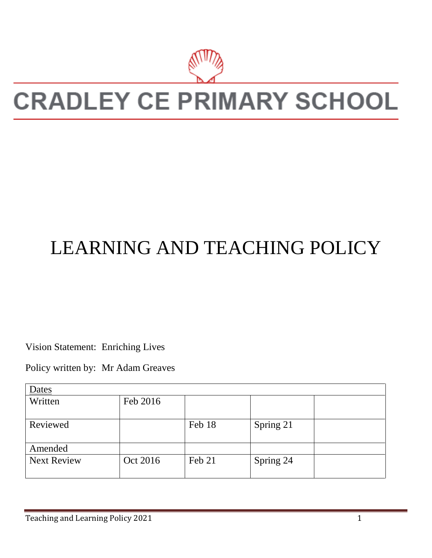

# **CRADLEY CE PRIMARY SCHOOL**

# LEARNING AND TEACHING POLICY

Vision Statement: Enriching Lives

Policy written by: Mr Adam Greaves

| Dates              |          |        |           |  |
|--------------------|----------|--------|-----------|--|
| Written            | Feb 2016 |        |           |  |
| Reviewed           |          | Feb 18 | Spring 21 |  |
| Amended            |          |        |           |  |
| <b>Next Review</b> | Oct 2016 | Feb 21 | Spring 24 |  |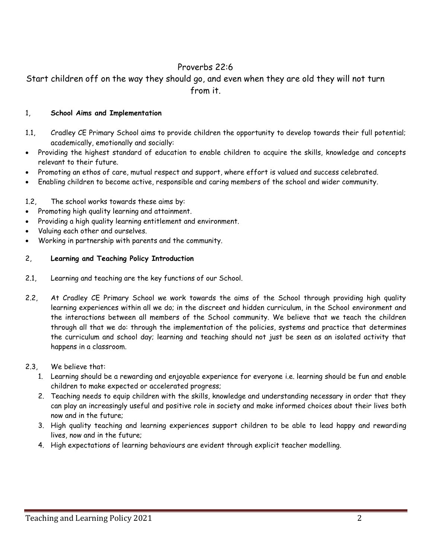# Proverbs 22:6

Start children off on the way they should go, and even when they are old they will not turn from it.

#### 1, **School Aims and Implementation**

- 1.1, Cradley CE Primary School aims to provide children the opportunity to develop towards their full potential; academically, emotionally and socially:
- Providing the highest standard of education to enable children to acquire the skills, knowledge and concepts relevant to their future.
- Promoting an ethos of care, mutual respect and support, where effort is valued and success celebrated.
- Enabling children to become active, responsible and caring members of the school and wider community.

#### 1.2, The school works towards these aims by:

- Promoting high quality learning and attainment.
- Providing a high quality learning entitlement and environment.
- Valuing each other and ourselves.
- Working in partnership with parents and the community.

#### 2, **Learning and Teaching Policy Introduction**

- 2.1, Learning and teaching are the key functions of our School.
- 2.2, At Cradley CE Primary School we work towards the aims of the School through providing high quality learning experiences within all we do; in the discreet and hidden curriculum, in the School environment and the interactions between all members of the School community. We believe that we teach the children through all that we do: through the implementation of the policies, systems and practice that determines the curriculum and school day; learning and teaching should not just be seen as an isolated activity that happens in a classroom.

#### 2.3, We believe that:

- 1. Learning should be a rewarding and enjoyable experience for everyone i.e. learning should be fun and enable children to make expected or accelerated progress;
- 2. Teaching needs to equip children with the skills, knowledge and understanding necessary in order that they can play an increasingly useful and positive role in society and make informed choices about their lives both now and in the future;
- 3. High quality teaching and learning experiences support children to be able to lead happy and rewarding lives, now and in the future;
- 4. High expectations of learning behaviours are evident through explicit teacher modelling.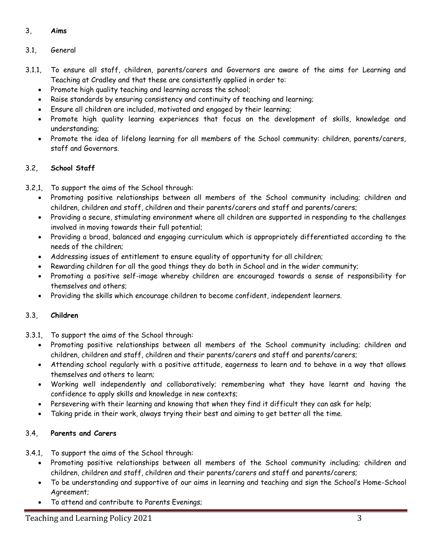# 3, **Aims**

# 3.1, General

- 3.1.1, To ensure all staff, children, parents/carers and Governors are aware of the aims for Learning and Teaching at Cradley and that these are consistently applied in order to:
	- Promote high quality teaching and learning across the school;
	- Raise standards by ensuring consistency and continuity of teaching and learning;
	- Ensure all children are included, motivated and engaged by their learning;
	- . Promote high quality learning experiences that focus on the development of skills, knowledge and understanding;
	- Promote the idea of lifelong learning for all members of the School community: children, parents/carers, staff and Governors.

# 3.2, **School Staff**

3.2,1, To support the aims of the School through:

- Promoting positive relationships between all members of the School community including; children and children, children and staff, children and their parents/carers and staff and parents/carers;
- Providing a secure, stimulating environment where all children are supported in responding to the challenges involved in moving towards their full potential;
- Providing a broad, balanced and engaging curriculum which is appropriately differentiated according to the needs of the children;
- Addressing issues of entitlement to ensure equality of opportunity for all children;
- Rewarding children for all the good things they do both in School and in the wider community;
- Promoting a positive self-image whereby children are encouraged towards a sense of responsibility for themselves and others;
- Providing the skills which encourage children to become confident, independent learners.

# 3.3, **Children**

- 3.3.1, To support the aims of the School through:
	- Promoting positive relationships between all members of the School community including; children and children, children and staff, children and their parents/carers and staff and parents/carers;
	- Attending school regularly with a positive attitude, eagerness to learn and to behave in a way that allows themselves and others to learn;
	- Working well independently and collaboratively; remembering what they have learnt and having the confidence to apply skills and knowledge in new contexts;
	- Persevering with their learning and knowing that when they find it difficult they can ask for help;
	- Taking pride in their work, always trying their best and aiming to get better all the time.

# 3.4, **Parents and Carers**

- 3.4.1, To support the aims of the School through:
	- Promoting positive relationships between all members of the School community including; children and children, children and staff, children and their parents/carers and staff and parents/carers;
	- To be understanding and supportive of our aims in learning and teaching and sign the School's Home-School Agreement;
	- To attend and contribute to Parents Evenings;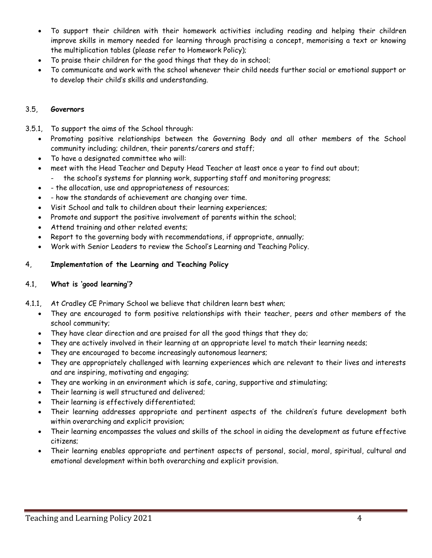- To support their children with their homework activities including reading and helping their children improve skills in memory needed for learning through practising a concept, memorising a text or knowing the multiplication tables (please refer to Homework Policy);
- To praise their children for the good things that they do in school;
- To communicate and work with the school whenever their child needs further social or emotional support or to develop their child's skills and understanding.

# 3.5, **Governors**

- 3.5.1, To support the aims of the School through:
	- Promoting positive relationships between the Governing Body and all other members of the School community including; children, their parents/carers and staff;
	- To have a designated committee who will:
	- meet with the Head Teacher and Deputy Head Teacher at least once a year to find out about;
		- the school's systems for planning work, supporting staff and monitoring progress;
	- the allocation, use and appropriateness of resources;
	- how the standards of achievement are changing over time.
	- Visit School and talk to children about their learning experiences;
	- Promote and support the positive involvement of parents within the school;
	- Attend training and other related events;
	- Report to the governing body with recommendations, if appropriate, annually;
	- Work with Senior Leaders to review the School's Learning and Teaching Policy.

# 4, **Implementation of the Learning and Teaching Policy**

# 4.1, **What is 'good learning'?**

- 4.1.1, At Cradley CE Primary School we believe that children learn best when;
	- They are encouraged to form positive relationships with their teacher, peers and other members of the school community;
	- They have clear direction and are praised for all the good things that they do;
	- They are actively involved in their learning at an appropriate level to match their learning needs;
	- They are encouraged to become increasingly autonomous learners;
	- They are appropriately challenged with learning experiences which are relevant to their lives and interests and are inspiring, motivating and engaging;
	- They are working in an environment which is safe, caring, supportive and stimulating;
	- Their learning is well structured and delivered;
	- Their learning is effectively differentiated;
	- Their learning addresses appropriate and pertinent aspects of the children's future development both within overarching and explicit provision;
	- Their learning encompasses the values and skills of the school in aiding the development as future effective citizens;
	- Their learning enables appropriate and pertinent aspects of personal, social, moral, spiritual, cultural and emotional development within both overarching and explicit provision.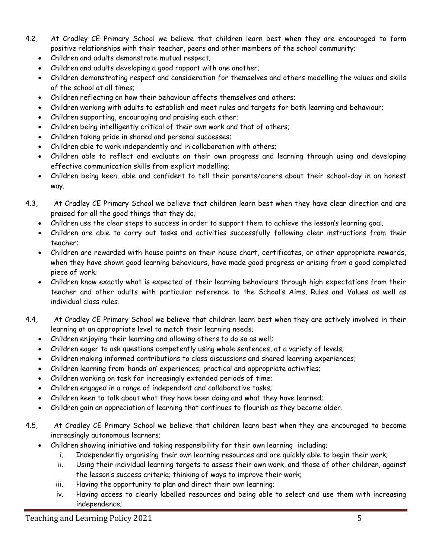- 4.2, At Cradley CE Primary School we believe that children learn best when they are encouraged to form positive relationships with their teacher, peers and other members of the school community;
	- Children and adults demonstrate mutual respect;
	- Children and adults developing a good rapport with one another;
	- Children demonstrating respect and consideration for themselves and others modelling the values and skills of the school at all times;
	- Children reflecting on how their behaviour affects themselves and others;
	- Children working with adults to establish and meet rules and targets for both learning and behaviour;
	- Children supporting, encouraging and praising each other;
	- Children being intelligently critical of their own work and that of others;
	- Children taking pride in shared and personal successes;
	- Children able to work independently and in collaboration with others;
	- Children able to reflect and evaluate on their own progress and learning through using and developing effective communication skills from explicit modelling;
	- Children being keen, able and confident to tell their parents/carers about their school-day in an honest way.
- 4.3, At Cradley CE Primary School we believe that children learn best when they have clear direction and are praised for all the good things that they do;
	- Children use the clear steps to success in order to support them to achieve the lesson's learning goal;
	- Children are able to carry out tasks and activities successfully following clear instructions from their teacher;
	- Children are rewarded with house points on their house chart, certificates, or other appropriate rewards, when they have shown good learning behaviours, have made good progress or arising from a good completed piece of work;
	- Children know exactly what is expected of their learning behaviours through high expectations from their teacher and other adults with particular reference to the School's Aims, Rules and Values as well as individual class rules.
- 4.4, At Cradley CE Primary School we believe that children learn best when they are actively involved in their learning at an appropriate level to match their learning needs;
	- Children enjoying their learning and allowing others to do so as well;
	- Children eager to ask questions competently using whole sentences, at a variety of levels;
	- Children making informed contributions to class discussions and shared learning experiences;
	- Children learning from 'hands on' experiences; practical and appropriate activities;
	- Children working on task for increasingly extended periods of time;
	- Children engaged in a range of independent and collaborative tasks;
	- Children keen to talk about what they have been doing and what they have learned;
	- Children gain an appreciation of learning that continues to flourish as they become older.
- 4.5, At Cradley CE Primary School we believe that children learn best when they are encouraged to become increasingly autonomous learners;
	- Children showing initiative and taking responsibility for their own learning including;
		- i. Independently organising their own learning resources and are quickly able to begin their work;
		- ii. Using their individual learning targets to assess their own work, and those of other children, against the lesson's success criteria; thinking of ways to improve their work;
		- iii. Having the opportunity to plan and direct their own learning;
		- iv. Having access to clearly labelled resources and being able to select and use them with increasing independence;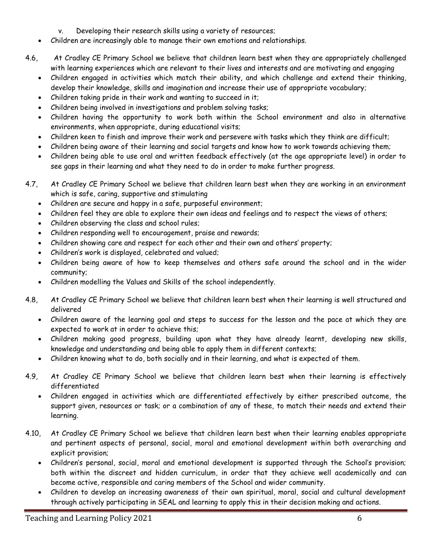- v. Developing their research skills using a variety of resources;
- Children are increasingly able to manage their own emotions and relationships.
- 4.6, At Cradley CE Primary School we believe that children learn best when they are appropriately challenged with learning experiences which are relevant to their lives and interests and are motivating and engaging
	- Children engaged in activities which match their ability, and which challenge and extend their thinking, develop their knowledge, skills and imagination and increase their use of appropriate vocabulary;
	- Children taking pride in their work and wanting to succeed in it;
	- Children being involved in investigations and problem solving tasks;
	- Children having the opportunity to work both within the School environment and also in alternative environments, when appropriate, during educational visits;
	- Children keen to finish and improve their work and persevere with tasks which they think are difficult;
	- Children being aware of their learning and social targets and know how to work towards achieving them;
	- Children being able to use oral and written feedback effectively (at the age appropriate level) in order to see gaps in their learning and what they need to do in order to make further progress.
- 4.7, At Cradley CE Primary School we believe that children learn best when they are working in an environment which is safe, caring, supportive and stimulating
	- Children are secure and happy in a safe, purposeful environment;
	- Children feel they are able to explore their own ideas and feelings and to respect the views of others;
	- Children observing the class and school rules;
	- Children responding well to encouragement, praise and rewards;
	- Children showing care and respect for each other and their own and others' property;
	- Children's work is displayed, celebrated and valued;
	- Children being aware of how to keep themselves and others safe around the school and in the wider community;
	- Children modelling the Values and Skills of the school independently.
- 4.8, At Cradley CE Primary School we believe that children learn best when their learning is well structured and delivered
	- Children aware of the learning goal and steps to success for the lesson and the pace at which they are expected to work at in order to achieve this;
	- Children making good progress, building upon what they have already learnt, developing new skills, knowledge and understanding and being able to apply them in different contexts;
	- Children knowing what to do, both socially and in their learning, and what is expected of them.
- 4.9, At Cradley CE Primary School we believe that children learn best when their learning is effectively differentiated
	- Children engaged in activities which are differentiated effectively by either prescribed outcome, the support given, resources or task; or a combination of any of these, to match their needs and extend their learning.
- 4.10, At Cradley CE Primary School we believe that children learn best when their learning enables appropriate and pertinent aspects of personal, social, moral and emotional development within both overarching and explicit provision;
	- Children's personal, social, moral and emotional development is supported through the School's provision; both within the discreet and hidden curriculum, in order that they achieve well academically and can become active, responsible and caring members of the School and wider community.
	- Children to develop an increasing awareness of their own spiritual, moral, social and cultural development through actively participating in SEAL and learning to apply this in their decision making and actions.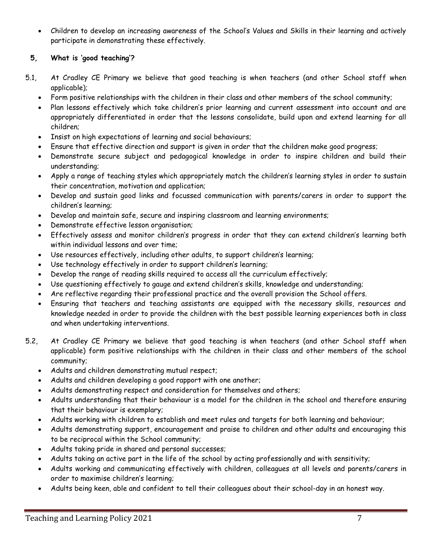Children to develop an increasing awareness of the School's Values and Skills in their learning and actively participate in demonstrating these effectively.

# **5, What is 'good teaching'?**

- 5.1, At Cradley CE Primary we believe that good teaching is when teachers (and other School staff when applicable);
	- Form positive relationships with the children in their class and other members of the school community;
	- Plan lessons effectively which take children's prior learning and current assessment into account and are appropriately differentiated in order that the lessons consolidate, build upon and extend learning for all children;
	- Insist on high expectations of learning and social behaviours;
	- Ensure that effective direction and support is given in order that the children make good progress;
	- Demonstrate secure subject and pedagogical knowledge in order to inspire children and build their understanding;
	- Apply a range of teaching styles which appropriately match the children's learning styles in order to sustain their concentration, motivation and application;
	- Develop and sustain good links and focussed communication with parents/carers in order to support the children's learning;
	- Develop and maintain safe, secure and inspiring classroom and learning environments;
	- Demonstrate effective lesson organisation;
	- Effectively assess and monitor children's progress in order that they can extend children's learning both within individual lessons and over time;
	- Use resources effectively, including other adults, to support children's learning;
	- Use technology effectively in order to support children's learning;
	- Develop the range of reading skills required to access all the curriculum effectively;
	- Use questioning effectively to gauge and extend children's skills, knowledge and understanding;
	- Are reflective regarding their professional practice and the overall provision the School offers.
	- Ensuring that teachers and teaching assistants are equipped with the necessary skills, resources and knowledge needed in order to provide the children with the best possible learning experiences both in class and when undertaking interventions.
- 5.2, At Cradley CE Primary we believe that good teaching is when teachers (and other School staff when applicable) form positive relationships with the children in their class and other members of the school community;
	- Adults and children demonstrating mutual respect;
	- Adults and children developing a good rapport with one another;
	- Adults demonstrating respect and consideration for themselves and others;
	- Adults understanding that their behaviour is a model for the children in the school and therefore ensuring that their behaviour is exemplary;
	- Adults working with children to establish and meet rules and targets for both learning and behaviour;
	- Adults demonstrating support, encouragement and praise to children and other adults and encouraging this to be reciprocal within the School community;
	- Adults taking pride in shared and personal successes;
	- Adults taking an active part in the life of the school by acting professionally and with sensitivity;
	- Adults working and communicating effectively with children, colleagues at all levels and parents/carers in order to maximise children's learning;
	- Adults being keen, able and confident to tell their colleagues about their school-day in an honest way.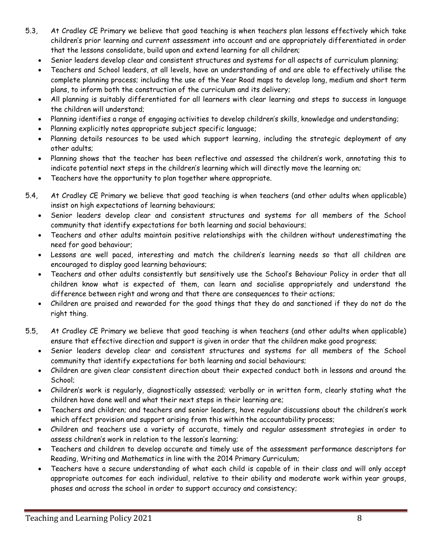- 5.3, At Cradley CE Primary we believe that good teaching is when teachers plan lessons effectively which take children's prior learning and current assessment into account and are appropriately differentiated in order that the lessons consolidate, build upon and extend learning for all children;
	- Senior leaders develop clear and consistent structures and systems for all aspects of curriculum planning;
	- Teachers and School leaders, at all levels, have an understanding of and are able to effectively utilise the complete planning process; including the use of the Year Road maps to develop long, medium and short term plans, to inform both the construction of the curriculum and its delivery;
	- All planning is suitably differentiated for all learners with clear learning and steps to success in language the children will understand;
	- Planning identifies a range of engaging activities to develop children's skills, knowledge and understanding;
	- Planning explicitly notes appropriate subject specific language;
	- Planning details resources to be used which support learning, including the strategic deployment of any other adults;
	- Planning shows that the teacher has been reflective and assessed the children's work, annotating this to indicate potential next steps in the children's learning which will directly move the learning on;
	- Teachers have the opportunity to plan together where appropriate.
- 5.4, At Cradley CE Primary we believe that good teaching is when teachers (and other adults when applicable) insist on high expectations of learning behaviours;
	- Senior leaders develop clear and consistent structures and systems for all members of the School community that identify expectations for both learning and social behaviours;
	- Teachers and other adults maintain positive relationships with the children without underestimating the need for good behaviour;
	- Lessons are well paced, interesting and match the children's learning needs so that all children are encouraged to display good learning behaviours;
	- Teachers and other adults consistently but sensitively use the School's Behaviour Policy in order that all children know what is expected of them, can learn and socialise appropriately and understand the difference between right and wrong and that there are consequences to their actions;
	- Children are praised and rewarded for the good things that they do and sanctioned if they do not do the right thing.
- 5.5, At Cradley CE Primary we believe that good teaching is when teachers (and other adults when applicable) ensure that effective direction and support is given in order that the children make good progress;
	- Senior leaders develop clear and consistent structures and systems for all members of the School community that identify expectations for both learning and social behaviours;
	- Children are given clear consistent direction about their expected conduct both in lessons and around the School;
	- Children's work is regularly, diagnostically assessed; verbally or in written form, clearly stating what the children have done well and what their next steps in their learning are;
	- Teachers and children; and teachers and senior leaders, have regular discussions about the children's work which affect provision and support arising from this within the accountability process;
	- Children and teachers use a variety of accurate, timely and regular assessment strategies in order to assess children's work in relation to the lesson's learning;
	- Teachers and children to develop accurate and timely use of the assessment performance descriptors for Reading, Writing and Mathematics in line with the 2014 Primary Curriculum;
	- Teachers have a secure understanding of what each child is capable of in their class and will only accept appropriate outcomes for each individual, relative to their ability and moderate work within year groups, phases and across the school in order to support accuracy and consistency;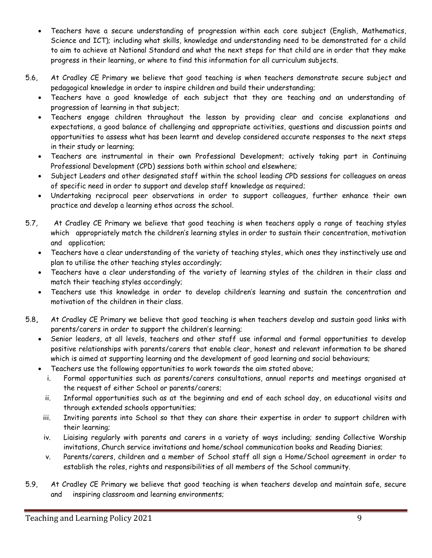- Teachers have a secure understanding of progression within each core subject (English, Mathematics, Science and ICT); including what skills, knowledge and understanding need to be demonstrated for a child to aim to achieve at National Standard and what the next steps for that child are in order that they make progress in their learning, or where to find this information for all curriculum subjects.
- 5.6, At Cradley CE Primary we believe that good teaching is when teachers demonstrate secure subject and pedagogical knowledge in order to inspire children and build their understanding;
	- Teachers have a good knowledge of each subject that they are teaching and an understanding of progression of learning in that subject;
	- Teachers engage children throughout the lesson by providing clear and concise explanations and expectations, a good balance of challenging and appropriate activities, questions and discussion points and opportunities to assess what has been learnt and develop considered accurate responses to the next steps in their study or learning;
	- Teachers are instrumental in their own Professional Development; actively taking part in Continuing Professional Development (CPD) sessions both within school and elsewhere;
	- Subject Leaders and other designated staff within the school leading CPD sessions for colleagues on areas of specific need in order to support and develop staff knowledge as required;
	- Undertaking reciprocal peer observations in order to support colleagues, further enhance their own practice and develop a learning ethos across the school.
- 5.7, At Cradley CE Primary we believe that good teaching is when teachers apply a range of teaching styles which appropriately match the children's learning styles in order to sustain their concentration, motivation and application;
	- Teachers have a clear understanding of the variety of teaching styles, which ones they instinctively use and plan to utilise the other teaching styles accordingly;
	- Teachers have a clear understanding of the variety of learning styles of the children in their class and match their teaching styles accordingly;
	- Teachers use this knowledge in order to develop children's learning and sustain the concentration and motivation of the children in their class.
- 5.8**,** At Cradley CE Primary we believe that good teaching is when teachers develop and sustain good links with parents/carers in order to support the children's learning;
	- Senior leaders, at all levels, teachers and other staff use informal and formal opportunities to develop positive relationships with parents/carers that enable clear, honest and relevant information to be shared which is aimed at supporting learning and the development of good learning and social behaviours;
	- Teachers use the following opportunities to work towards the aim stated above;
		- i. Formal opportunities such as parents/carers consultations, annual reports and meetings organised at the request of either School or parents/carers;
		- ii. Informal opportunities such as at the beginning and end of each school day, on educational visits and through extended schools opportunities;
		- iii. Inviting parents into School so that they can share their expertise in order to support children with their learning;
		- iv. Liaising regularly with parents and carers in a variety of ways including; sending Collective Worship invitations, Church service invitations and home/school communication books and Reading Diaries;
		- v. Parents/carers, children and a member of School staff all sign a Home/School agreement in order to establish the roles, rights and responsibilities of all members of the School community.
- 5.9, At Cradley CE Primary we believe that good teaching is when teachers develop and maintain safe, secure and inspiring classroom and learning environments;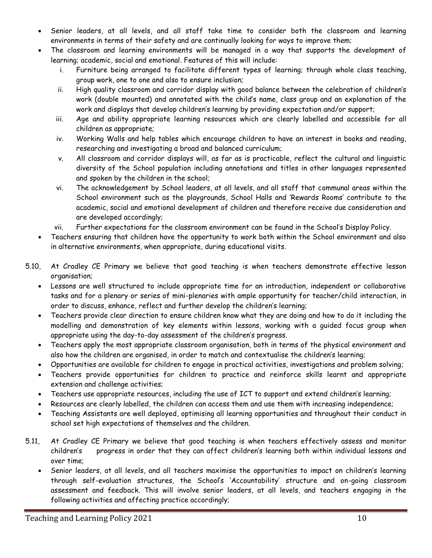- Senior leaders, at all levels, and all staff take time to consider both the classroom and learning environments in terms of their safety and are continually looking for ways to improve them;
- The classroom and learning environments will be managed in a way that supports the development of learning; academic, social and emotional. Features of this will include:
	- i. Furniture being arranged to facilitate different types of learning; through whole class teaching, group work, one to one and also to ensure inclusion;
	- ii. High quality classroom and corridor display with good balance between the celebration of children's work (double mounted) and annotated with the child's name, class group and an explanation of the work and displays that develop children's learning by providing expectation and/or support;
	- iii. Age and ability appropriate learning resources which are clearly labelled and accessible for all children as appropriate;
	- iv. Working Walls and help tables which encourage children to have an interest in books and reading, researching and investigating a broad and balanced curriculum;
	- v. All classroom and corridor displays will, as far as is practicable, reflect the cultural and linguistic diversity of the School population including annotations and titles in other languages represented and spoken by the children in the school;
	- vi. The acknowledgement by School leaders, at all levels, and all staff that communal areas within the School environment such as the playgrounds, School Halls and 'Rewards Rooms' contribute to the academic, social and emotional development of children and therefore receive due consideration and are developed accordingly;
	- vii. Further expectations for the classroom environment can be found in the School's Display Policy.
- Teachers ensuring that children have the opportunity to work both within the School environment and also in alternative environments, when appropriate, during educational visits.
- 5.10, At Cradley CE Primary we believe that good teaching is when teachers demonstrate effective lesson organisation;
	- Lessons are well structured to include appropriate time for an introduction, independent or collaborative tasks and for a plenary or series of mini-plenaries with ample opportunity for teacher/child interaction, in order to discuss, enhance, reflect and further develop the children's learning;
	- Teachers provide clear direction to ensure children know what they are doing and how to do it including the modelling and demonstration of key elements within lessons, working with a guided focus group when appropriate using the day-to-day assessment of the children's progress.
	- Teachers apply the most appropriate classroom organisation, both in terms of the physical environment and also how the children are organised, in order to match and contextualise the children's learning;
	- Opportunities are available for children to engage in practical activities, investigations and problem solving;
	- Teachers provide opportunities for children to practice and reinforce skills learnt and appropriate extension and challenge activities;
	- Teachers use appropriate resources, including the use of ICT to support and extend children's learning;
	- Resources are clearly labelled, the children can access them and use them with increasing independence;
	- Teaching Assistants are well deployed, optimising all learning opportunities and throughout their conduct in school set high expectations of themselves and the children.
- 5.11, At Cradley CE Primary we believe that good teaching is when teachers effectively assess and monitor children's progress in order that they can affect children's learning both within individual lessons and over time;
	- Senior leaders, at all levels, and all teachers maximise the opportunities to impact on children's learning through self-evaluation structures, the School's 'Accountability' structure and on-going classroom assessment and feedback. This will involve senior leaders, at all levels, and teachers engaging in the following activities and affecting practice accordingly;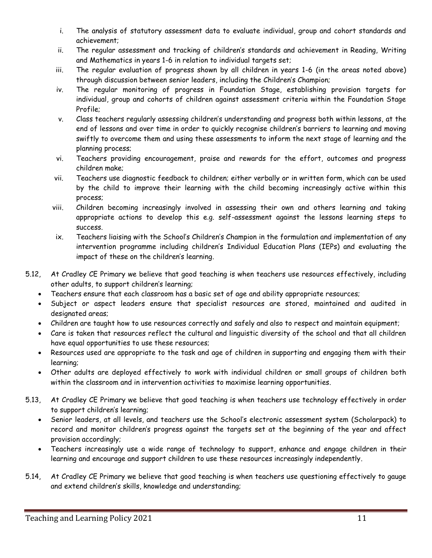- i. The analysis of statutory assessment data to evaluate individual, group and cohort standards and achievement;
- ii. The regular assessment and tracking of children's standards and achievement in Reading, Writing and Mathematics in years 1-6 in relation to individual targets set;
- iii. The regular evaluation of progress shown by all children in years 1-6 (in the areas noted above) through discussion between senior leaders, including the Children's Champion;
- iv. The regular monitoring of progress in Foundation Stage, establishing provision targets for individual, group and cohorts of children against assessment criteria within the Foundation Stage Profile;
- v. Class teachers regularly assessing children's understanding and progress both within lessons, at the end of lessons and over time in order to quickly recognise children's barriers to learning and moving swiftly to overcome them and using these assessments to inform the next stage of learning and the planning process;
- vi. Teachers providing encouragement, praise and rewards for the effort, outcomes and progress children make;
- vii. Teachers use diagnostic feedback to children; either verbally or in written form, which can be used by the child to improve their learning with the child becoming increasingly active within this process;
- viii. Children becoming increasingly involved in assessing their own and others learning and taking appropriate actions to develop this e.g. self-assessment against the lessons learning steps to success.
- ix. Teachers liaising with the School's Children's Champion in the formulation and implementation of any intervention programme including children's Individual Education Plans (IEPs) and evaluating the impact of these on the children's learning.
- 5.12, At Cradley CE Primary we believe that good teaching is when teachers use resources effectively, including other adults, to support children's learning;
	- Teachers ensure that each classroom has a basic set of age and ability appropriate resources;
	- Subject or aspect leaders ensure that specialist resources are stored, maintained and audited in designated areas;
	- Children are taught how to use resources correctly and safely and also to respect and maintain equipment;
	- Care is taken that resources reflect the cultural and linguistic diversity of the school and that all children have equal opportunities to use these resources;
	- Resources used are appropriate to the task and age of children in supporting and engaging them with their learning;
	- Other adults are deployed effectively to work with individual children or small groups of children both within the classroom and in intervention activities to maximise learning opportunities.
- 5.13, At Cradley CE Primary we believe that good teaching is when teachers use technology effectively in order to support children's learning;
	- Senior leaders, at all levels, and teachers use the School's electronic assessment system (Scholarpack) to record and monitor children's progress against the targets set at the beginning of the year and affect provision accordingly;
	- Teachers increasingly use a wide range of technology to support, enhance and engage children in their learning and encourage and support children to use these resources increasingly independently.
- 5.14, At Cradley CE Primary we believe that good teaching is when teachers use questioning effectively to gauge and extend children's skills, knowledge and understanding;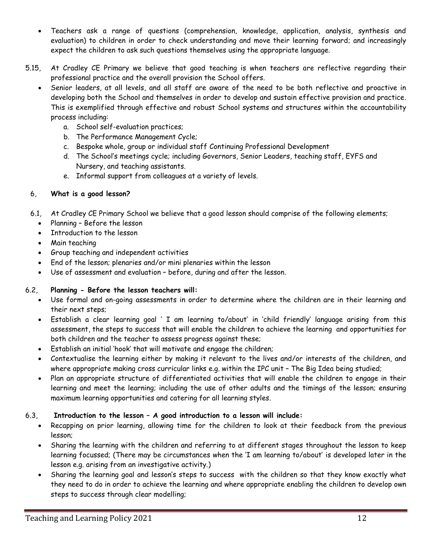- Teachers ask a range of questions (comprehension, knowledge, application, analysis, synthesis and evaluation) to children in order to check understanding and move their learning forward; and increasingly expect the children to ask such questions themselves using the appropriate language.
- 5.15, At Cradley CE Primary we believe that good teaching is when teachers are reflective regarding their professional practice and the overall provision the School offers.
	- Senior leaders, at all levels, and all staff are aware of the need to be both reflective and proactive in developing both the School and themselves in order to develop and sustain effective provision and practice. This is exemplified through effective and robust School systems and structures within the accountability process including:
		- a. School self-evaluation practices;
		- b. The Performance Management Cycle;
		- c. Bespoke whole, group or individual staff Continuing Professional Development
		- d. The School's meetings cycle; including Governors, Senior Leaders, teaching staff, EYFS and Nursery, and teaching assistants.
		- e. Informal support from colleagues at a variety of levels.

#### 6, **What is a good lesson?**

- 6.1, At Cradley CE Primary School we believe that a good lesson should comprise of the following elements;
	- Planning Before the lesson
	- Introduction to the lesson
	- Main teaching
	- Group teaching and independent activities
	- End of the lesson; plenaries and/or mini plenaries within the lesson
	- Use of assessment and evaluation before, during and after the lesson.

#### 6.2, **Planning - Before the lesson teachers will:**

- Use formal and on-going assessments in order to determine where the children are in their learning and their next steps;
- Establish a clear learning goal ' I am learning to/about' in 'child friendly' language arising from this assessment, the steps to success that will enable the children to achieve the learning and opportunities for both children and the teacher to assess progress against these;
- Establish an initial 'hook' that will motivate and engage the children;
- Contextualise the learning either by making it relevant to the lives and/or interests of the children, and where appropriate making cross curricular links e.g. within the IPC unit – The Big Idea being studied;
- Plan an appropriate structure of differentiated activities that will enable the children to engage in their learning and meet the learning; including the use of other adults and the timings of the lesson; ensuring maximum learning opportunities and catering for all learning styles.

#### 6.3, **Introduction to the lesson – A good introduction to a lesson will include:**

- Recapping on prior learning, allowing time for the children to look at their feedback from the previous lesson;
- Sharing the learning with the children and referring to at different stages throughout the lesson to keep learning focussed; (There may be circumstances when the 'I am learning to/about' is developed later in the lesson e.g. arising from an investigative activity.)
- Sharing the learning goal and lesson's steps to success with the children so that they know exactly what they need to do in order to achieve the learning and where appropriate enabling the children to develop own steps to success through clear modelling;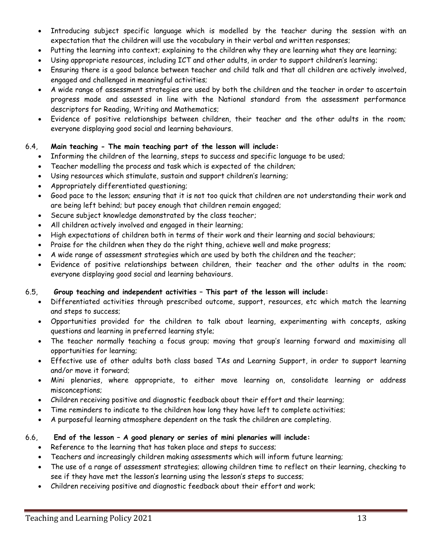- Introducing subject specific language which is modelled by the teacher during the session with an expectation that the children will use the vocabulary in their verbal and written responses;
- Putting the learning into context; explaining to the children why they are learning what they are learning;
- Using appropriate resources, including ICT and other adults, in order to support children's learning;
- Ensuring there is a good balance between teacher and child talk and that all children are actively involved, engaged and challenged in meaningful activities;
- A wide range of assessment strategies are used by both the children and the teacher in order to ascertain progress made and assessed in line with the National standard from the assessment performance descriptors for Reading, Writing and Mathematics;
- Evidence of positive relationships between children, their teacher and the other adults in the room; everyone displaying good social and learning behaviours.

#### 6.4, **Main teaching - The main teaching part of the lesson will include:**

- Informing the children of the learning, steps to success and specific language to be used;
- Teacher modelling the process and task which is expected of the children;
- Using resources which stimulate, sustain and support children's learning;
- Appropriately differentiated questioning;
- Good pace to the lesson; ensuring that it is not too quick that children are not understanding their work and are being left behind; but pacey enough that children remain engaged;
- Secure subject knowledge demonstrated by the class teacher;
- All children actively involved and engaged in their learning;
- High expectations of children both in terms of their work and their learning and social behaviours;
- Praise for the children when they do the right thing, achieve well and make progress;
- A wide range of assessment strategies which are used by both the children and the teacher;
- Evidence of positive relationships between children, their teacher and the other adults in the room; everyone displaying good social and learning behaviours.

#### 6.5, **Group teaching and independent activities – This part of the lesson will include:**

- Differentiated activities through prescribed outcome, support, resources, etc which match the learning and steps to success;
- Opportunities provided for the children to talk about learning, experimenting with concepts, asking questions and learning in preferred learning style;
- The teacher normally teaching a focus group; moving that group's learning forward and maximising all opportunities for learning;
- Effective use of other adults both class based TAs and Learning Support, in order to support learning and/or move it forward;
- Mini plenaries, where appropriate, to either move learning on, consolidate learning or address misconceptions;
- Children receiving positive and diagnostic feedback about their effort and their learning;
- Time reminders to indicate to the children how long they have left to complete activities;
- A purposeful learning atmosphere dependent on the task the children are completing.

#### 6.6, **End of the lesson – A good plenary or series of mini plenaries will include:**

- Reference to the learning that has taken place and steps to success;
- Teachers and increasingly children making assessments which will inform future learning;
- The use of a range of assessment strategies; allowing children time to reflect on their learning, checking to see if they have met the lesson's learning using the lesson's steps to success;
- Children receiving positive and diagnostic feedback about their effort and work;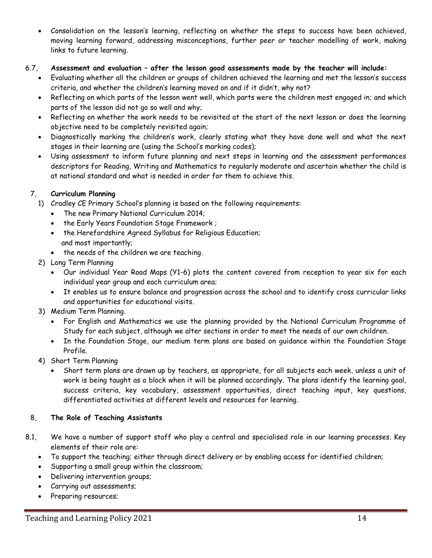Consolidation on the lesson's learning, reflecting on whether the steps to success have been achieved, moving learning forward, addressing misconceptions, further peer or teacher modelling of work, making links to future learning.

### 6.7, **Assessment and evaluation – after the lesson good assessments made by the teacher will include:**

- Evaluating whether all the children or groups of children achieved the learning and met the lesson's success criteria, and whether the children's learning moved on and if it didn't, why not?
- Reflecting on which parts of the lesson went well, which parts were the children most engaged in; and which parts of the lesson did not go so well and why;
- Reflecting on whether the work needs to be revisited at the start of the next lesson or does the learning objective need to be completely revisited again;
- Diagnostically marking the children's work, clearly stating what they have done well and what the next stages in their learning are (using the School's marking codes);
- Using assessment to inform future planning and next steps in learning and the assessment performances descriptors for Reading, Writing and Mathematics to regularly moderate and ascertain whether the child is at national standard and what is needed in order for them to achieve this.

#### 7, **Curriculum Planning**

- 1) Cradley CE Primary School's planning is based on the following requirements:
	- The new Primary National Curriculum 2014;
	- the Early Years Foundation Stage Framework ;
	- the Herefordshire Agreed Syllabus for Religious Education; and most importantly;
	- the needs of the children we are teaching.
- 2) Long Term Planning
	- Our individual Year Road Maps (Y1-6) plots the content covered from reception to year six for each individual year group and each curriculum area;
	- It enables us to ensure balance and progression across the school and to identify cross curricular links and opportunities for educational visits.
- 3) Medium Term Planning.
	- For English and Mathematics we use the planning provided by the National Curriculum Programme of Study for each subject, although we alter sections in order to meet the needs of our own children.
	- In the Foundation Stage, our medium term plans are based on guidance within the Foundation Stage Profile.
- 4) Short Term Planning
	- Short term plans are drawn up by teachers, as appropriate, for all subjects each week, unless a unit of work is being taught as a block when it will be planned accordingly. The plans identify the learning goal, success criteria, key vocabulary, assessment opportunities, direct teaching input, key questions, differentiated activities at different levels and resources for learning.

#### 8, **The Role of Teaching Assistants**

- 8.1, We have a number of support staff who play a central and specialised role in our learning processes. Key elements of their role are:
	- To support the teaching; either through direct delivery or by enabling access for identified children;
	- Supporting a small group within the classroom;
	- Delivering intervention groups;
	- Carrying out assessments;
	- Preparing resources;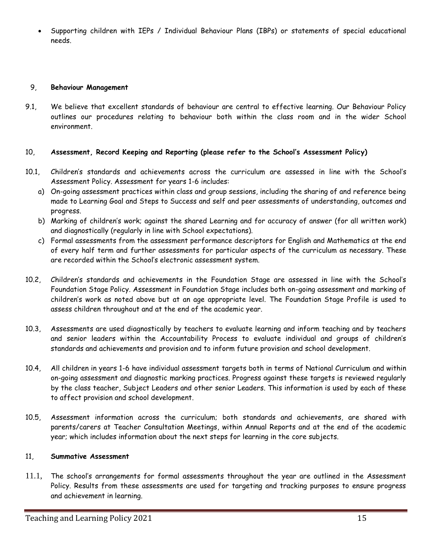Supporting children with IEPs / Individual Behaviour Plans (IBPs) or statements of special educational needs.

#### 9, **Behaviour Management**

9.1, We believe that excellent standards of behaviour are central to effective learning. Our Behaviour Policy outlines our procedures relating to behaviour both within the class room and in the wider School environment.

#### 10, **Assessment, Record Keeping and Reporting (please refer to the School's Assessment Policy)**

- 10.1, Children's standards and achievements across the curriculum are assessed in line with the School's Assessment Policy. Assessment for years 1-6 includes:
	- a) On-going assessment practices within class and group sessions, including the sharing of and reference being made to Learning Goal and Steps to Success and self and peer assessments of understanding, outcomes and progress.
	- b) Marking of children's work; against the shared Learning and for accuracy of answer (for all written work) and diagnostically (regularly in line with School expectations).
	- c) Formal assessments from the assessment performance descriptors for English and Mathematics at the end of every half term and further assessments for particular aspects of the curriculum as necessary. These are recorded within the School's electronic assessment system.
- 10.2, Children's standards and achievements in the Foundation Stage are assessed in line with the School's Foundation Stage Policy. Assessment in Foundation Stage includes both on-going assessment and marking of children's work as noted above but at an age appropriate level. The Foundation Stage Profile is used to assess children throughout and at the end of the academic year.
- 10.3, Assessments are used diagnostically by teachers to evaluate learning and inform teaching and by teachers and senior leaders within the Accountability Process to evaluate individual and groups of children's standards and achievements and provision and to inform future provision and school development.
- 10.4, All children in years 1-6 have individual assessment targets both in terms of National Curriculum and within on-going assessment and diagnostic marking practices. Progress against these targets is reviewed regularly by the class teacher, Subject Leaders and other senior Leaders. This information is used by each of these to affect provision and school development.
- 10.5, Assessment information across the curriculum; both standards and achievements, are shared with parents/carers at Teacher Consultation Meetings, within Annual Reports and at the end of the academic year; which includes information about the next steps for learning in the core subjects.

#### 11, **Summative Assessment**

11.1, The school's arrangements for formal assessments throughout the year are outlined in the Assessment Policy. Results from these assessments are used for targeting and tracking purposes to ensure progress and achievement in learning.